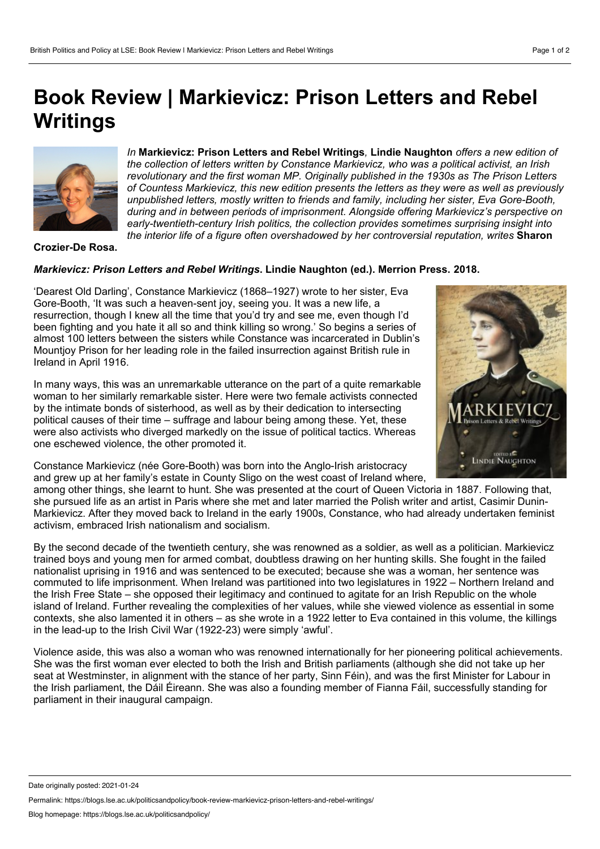# **Book Review | Markievicz: Prison Letters and Rebel Writings**



*In* **Markievicz: Prison Letters and Rebel Writings***,* **Lindie Naughton** *offers a new edition of the collection of letters written by Constance Markievicz, who was a political activist, an Irish revolutionary and the first woman MP. Originally published in the 1930s as The Prison Letters of Countess Markievicz, this new edition presents the letters as they were as well as previously unpublished letters, mostly written to friends and family, including her sister, Eva Gore-Booth, during and in between periods of imprisonment. Alongside offering Markievicz's perspective on early-twentieth-century Irish politics, the collection provides sometimes surprising insight into the interior life of a figure often overshadowed by her controversial reputation, writes* **Sharon**

### **Crozier-De Rosa.**

## *Markievicz: Prison Letters and Rebel Writings***. Lindie Naughton (ed.). Merrion Press. 2018.**

'Dearest Old Darling', Constance Markievicz (1868–1927) wrote to her sister, Eva Gore-Booth, 'It was such a heaven-sent joy, seeing you. It was a new life, a resurrection, though I knew all the time that you'd try and see me, even though I'd been fighting and you hate it all so and think killing so wrong.' So begins a series of almost 100 letters between the sisters while Constance was incarcerated in Dublin's Mountjoy Prison for her leading role in the failed insurrection against British rule in Ireland in April 1916.

In many ways, this was an unremarkable utterance on the part of a quite remarkable woman to her similarly remarkable sister. Here were two female activists connected by the intimate bonds of sisterhood, as well as by their dedication to intersecting political causes of their time – suffrage and labour being among these. Yet, these were also activists who diverged markedly on the issue of political tactics. Whereas one eschewed violence, the other promoted it.



Constance Markievicz (née Gore-Booth) was born into the Anglo-Irish aristocracy and grew up at her family's estate in County Sligo on the west coast of Ireland where,

among other things, she learnt to hunt. She was presented at the court of Queen Victoria in 1887. Following that, she pursued life as an artist in Paris where she met and later married the Polish writer and artist, Casimir Dunin- Markievicz. After they moved back to Ireland in the early 1900s, Constance, who had already undertaken feminist activism, embraced Irish nationalism and socialism.

By the second decade of the twentieth century, she was renowned as a soldier, as well as a politician. Markievicz trained boys and young men for armed combat, doubtless drawing on her hunting skills. She fought in the failed nationalist uprising in 1916 and was sentenced to be executed; because she was a woman, her sentence was commuted to life imprisonment. When Ireland was partitioned into two legislatures in 1922 – Northern Ireland and the Irish Free State – she opposed their legitimacy and continued to agitate for an Irish Republic on the whole island of Ireland. Further revealing the complexities of her values, while she viewed violence as essential in some contexts, she also lamented it in others – as she wrote in a 1922 letter to Eva contained in this volume, the killings in the lead-up to the Irish Civil War (1922-23) were simply 'awful'.

Violence aside, this was also a woman who was renowned internationally for her pioneering political achievements. She was the first woman ever elected to both the Irish and British parliaments (although she did not take up her seat at Westminster, in alignment with the stance of her party, Sinn Féin), and was the first Minister for Labour in the Irish parliament, the Dáil Éireann. She was also a founding member of Fianna Fáil, successfully standing for parliament in their inaugural campaign.

Permalink: https://blogs.lse.ac.uk/politicsandpolicy/book-review-markievicz-prison-letters-and-rebel-writings/

Date originally posted: 2021-01-24